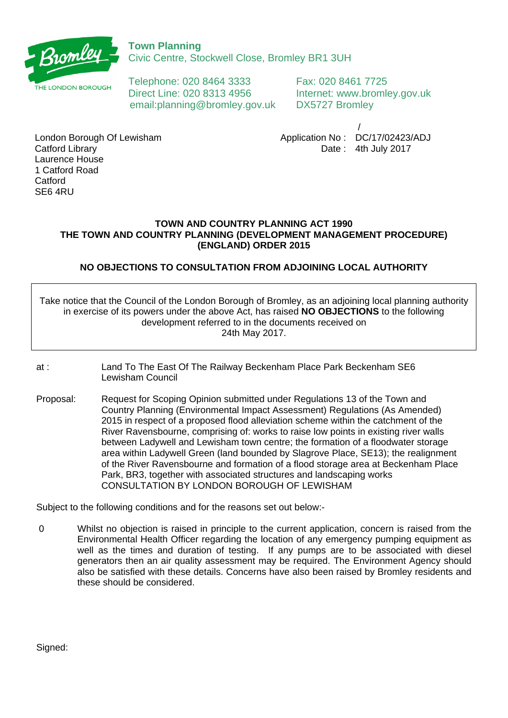

Civic Centre, Stockwell Close, Bromley BR1 3UH

THE LONDON BOROUGH Telephone: 020 8464 3333 Fax: 020 8461 7725 Direct Line: 020 8313 4956 Internet: www.bromley.gov.uk email:planning@bromley.gov.uk DX5727 Bromley

 / Application No : DC/17/02423/ADJ Date : 4th July 2017

London Borough Of Lewisham Catford Library Laurence House 1 Catford Road **Catford** SE6 4RU

## **TOWN AND COUNTRY PLANNING ACT 1990 THE TOWN AND COUNTRY PLANNING (DEVELOPMENT MANAGEMENT PROCEDURE) (ENGLAND) ORDER 2015**

## **NO OBJECTIONS TO CONSULTATION FROM ADJOINING LOCAL AUTHORITY**

Take notice that the Council of the London Borough of Bromley, as an adjoining local planning authority in exercise of its powers under the above Act, has raised **NO OBJECTIONS** to the following development referred to in the documents received on 24th May 2017.

- at : Land To The East Of The Railway Beckenham Place Park Beckenham SE6 Lewisham Council
- Proposal: Request for Scoping Opinion submitted under Regulations 13 of the Town and Country Planning (Environmental Impact Assessment) Regulations (As Amended) 2015 in respect of a proposed flood alleviation scheme within the catchment of the River Ravensbourne, comprising of: works to raise low points in existing river walls between Ladywell and Lewisham town centre; the formation of a floodwater storage area within Ladywell Green (land bounded by Slagrove Place, SE13); the realignment of the River Ravensbourne and formation of a flood storage area at Beckenham Place Park, BR3, together with associated structures and landscaping works CONSULTATION BY LONDON BOROUGH OF LEWISHAM

Subject to the following conditions and for the reasons set out below:-

 0 Whilst no objection is raised in principle to the current application, concern is raised from the Environmental Health Officer regarding the location of any emergency pumping equipment as well as the times and duration of testing. If any pumps are to be associated with diesel generators then an air quality assessment may be required. The Environment Agency should also be satisfied with these details. Concerns have also been raised by Bromley residents and these should be considered.

Signed: